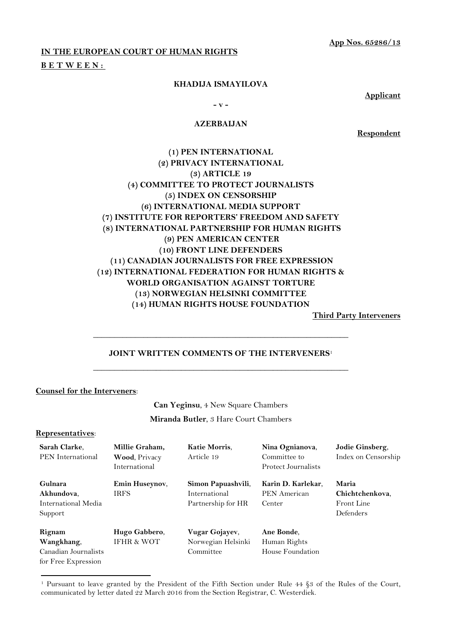**App Nos. 65286/13**

## **IN THE EUROPEAN COURT OF HUMAN RIGHTS**

### **B E T W E E N :**

#### **KHADIJA ISMAYILOVA**

**Applicant**

**- v -**

#### **AZERBAIJAN**

**Respondent**

## **(1) PEN INTERNATIONAL (2) PRIVACY INTERNATIONAL (3) ARTICLE 19 (4) COMMITTEE TO PROTECT JOURNALISTS (5) INDEX ON CENSORSHIP (6) INTERNATIONAL MEDIA SUPPORT (7) INSTITUTE FOR REPORTERS' FREEDOM AND SAFETY (8) INTERNATIONAL PARTNERSHIP FOR HUMAN RIGHTS (9) PEN AMERICAN CENTER (10) FRONT LINE DEFENDERS (11) CANADIAN JOURNALISTS FOR FREE EXPRESSION (12) INTERNATIONAL FEDERATION FOR HUMAN RIGHTS & WORLD ORGANISATION AGAINST TORTURE (13) NORWEGIAN HELSINKI COMMITTEE (14) HUMAN RIGHTS HOUSE FOUNDATION**

**Third Party Interveners**

# **JOINT WRITTEN COMMENTS OF THE INTERVENERS**<sup>1</sup> **\_\_\_\_\_\_\_\_\_\_\_\_\_\_\_\_\_\_\_\_\_\_\_\_\_\_\_\_\_\_\_\_\_\_\_\_\_\_\_\_\_\_\_\_\_\_\_\_\_\_\_\_\_\_\_\_\_\_\_\_\_**

**\_\_\_\_\_\_\_\_\_\_\_\_\_\_\_\_\_\_\_\_\_\_\_\_\_\_\_\_\_\_\_\_\_\_\_\_\_\_\_\_\_\_\_\_\_\_\_\_\_\_\_\_\_\_\_\_\_\_\_\_\_**

## **Counsel for the Interveners**:

**Can Yeginsu**, 4 New Square Chambers **Miranda Butler**, 3 Hare Court Chambers

#### **Representatives**:

| Sarah Clarke,<br><b>PEN</b> International                           | Millie Graham,<br>Wood, Privacy<br>International | Katie Morris,<br>Article 19                               | Nina Ognianova,<br>Committee to<br>Protect Journalists | Jodie Ginsberg,<br>Index on Censorship              |
|---------------------------------------------------------------------|--------------------------------------------------|-----------------------------------------------------------|--------------------------------------------------------|-----------------------------------------------------|
| Gulnara<br>Akhundova,<br>International Media<br>Support             | <b>Emin Huseynov,</b><br><b>IRFS</b>             | Simon Papuashvili,<br>International<br>Partnership for HR | Karin D. Karlekar,<br><b>PEN</b> American<br>Center    | Maria<br>Chichtchenkova,<br>Front Line<br>Defenders |
| Rignam<br>Wangkhang,<br>Canadian Journalists<br>for Free Expression | Hugo Gabbero,<br><b>IFHR &amp; WOT</b>           | Vugar Gojayev,<br>Norwegian Helsinki<br>Committee         | Ane Bonde,<br>Human Rights<br>House Foundation         |                                                     |

<sup>1</sup> <sup>1</sup> Pursuant to leave granted by the President of the Fifth Section under Rule 44 §3 of the Rules of the Court, communicated by letter dated 22 March 2016 from the Section Registrar, C. Westerdiek.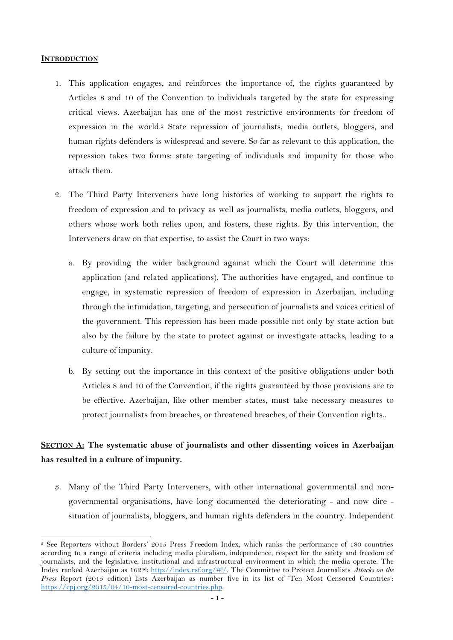## **INTRODUCTION**

- 1. This application engages, and reinforces the importance of, the rights guaranteed by Articles 8 and 10 of the Convention to individuals targeted by the state for expressing critical views. Azerbaijan has one of the most restrictive environments for freedom of expression in the world.<sup>2</sup> State repression of journalists, media outlets, bloggers, and human rights defenders is widespread and severe. So far as relevant to this application, the repression takes two forms: state targeting of individuals and impunity for those who attack them.
- 2. The Third Party Interveners have long histories of working to support the rights to freedom of expression and to privacy as well as journalists, media outlets, bloggers, and others whose work both relies upon, and fosters, these rights. By this intervention, the Interveners draw on that expertise, to assist the Court in two ways:
	- a. By providing the wider background against which the Court will determine this application (and related applications). The authorities have engaged, and continue to engage, in systematic repression of freedom of expression in Azerbaijan, including through the intimidation, targeting, and persecution of journalists and voices critical of the government. This repression has been made possible not only by state action but also by the failure by the state to protect against or investigate attacks, leading to a culture of impunity.
	- b. By setting out the importance in this context of the positive obligations under both Articles 8 and 10 of the Convention, if the rights guaranteed by those provisions are to be effective. Azerbaijan, like other member states, must take necessary measures to protect journalists from breaches, or threatened breaches, of their Convention rights..

# **SECTION A: The systematic abuse of journalists and other dissenting voices in Azerbaijan has resulted in a culture of impunity.**

3. Many of the Third Party Interveners, with other international governmental and nongovernmental organisations, have long documented the deteriorating - and now dire situation of journalists, bloggers, and human rights defenders in the country. Independent

<sup>-</sup><sup>2</sup> See Reporters without Borders' 2015 Press Freedom Index, which ranks the performance of 180 countries according to a range of criteria including media pluralism, independence, respect for the safety and freedom of journalists, and the legislative, institutional and infrastructural environment in which the media operate. The Index ranked Azerbaijan as 162<sup>nd</sup>: [http://index.rsf.org/#!/.](http://index.rsf.org/#!/) The Committee to Protect Journalists *Attacks on the Press* Report (2015 edition) lists Azerbaijan as number five in its list of 'Ten Most Censored Countries': [https://cpj.org/2015/04/10-most-censored-countries.php.](https://cpj.org/2015/04/10-most-censored-countries.php)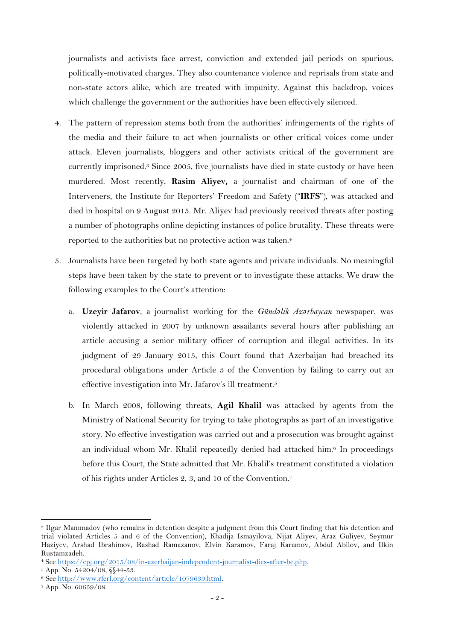journalists and activists face arrest, conviction and extended jail periods on spurious, politically-motivated charges. They also countenance violence and reprisals from state and non-state actors alike, which are treated with impunity. Against this backdrop, voices which challenge the government or the authorities have been effectively silenced.

- 4. The pattern of repression stems both from the authorities' infringements of the rights of the media and their failure to act when journalists or other critical voices come under attack. Eleven journalists, bloggers and other activists critical of the government are currently imprisoned.<sup>3</sup> Since 2005, five journalists have died in state custody or have been murdered. Most recently, **Rasim Aliyev,** a journalist and chairman of one of the Interveners, the Institute for Reporters' Freedom and Safety ("**IRFS**"), was attacked and died in hospital on 9 August 2015. Mr. Aliyev had previously received threats after posting a number of photographs online depicting instances of police brutality. These threats were reported to the authorities but no protective action was taken. 4
- 5. Journalists have been targeted by both state agents and private individuals. No meaningful steps have been taken by the state to prevent or to investigate these attacks. We draw the following examples to the Court's attention:
	- a. **Uzeyir Jafarov**, a journalist working for the *Gündəlik Azərbaycan* newspaper, was violently attacked in 2007 by unknown assailants several hours after publishing an article accusing a senior military officer of corruption and illegal activities. In its judgment of 29 January 2015, this Court found that Azerbaijan had breached its procedural obligations under Article 3 of the Convention by failing to carry out an effective investigation into Mr. Jafarov's ill treatment.<sup>5</sup>
	- b. In March 2008, following threats, **Agil Khalil** was attacked by agents from the Ministry of National Security for trying to take photographs as part of an investigative story. No effective investigation was carried out and a prosecution was brought against an individual whom Mr. Khalil repeatedly denied had attacked him. <sup>6</sup> In proceedings before this Court, the State admitted that Mr. Khalil's treatment constituted a violation of his rights under Articles 2, 3, and 10 of the Convention.<sup>7</sup>

<sup>3</sup> Ilgar Mammadov (who remains in detention despite a judgment from this Court finding that his detention and trial violated Articles 5 and 6 of the Convention), Khadija Ismayilova, Nijat Aliyev, Araz Guliyev, Seymur Haziyev, Arshad Ibrahimov, Rashad Ramazanov, Elvin Karamov, Faraj Karamov, Abdul Abilov, and Ilkin Rustamzadeh.

<sup>4</sup> See [https://cpj.org/2015/08/in-azerbaijan-independent-journalist-dies-after-be.php.](https://cpj.org/2015/08/in-azerbaijan-independent-journalist-dies-after-be.php)

<sup>5</sup> App. No. 54204/08, §§44-53.

<sup>6</sup> See [http://www.rferl.org/content/article/1079639.html.](http://www.rferl.org/content/article/1079639.html)

<sup>7</sup> App. No. 60659/08.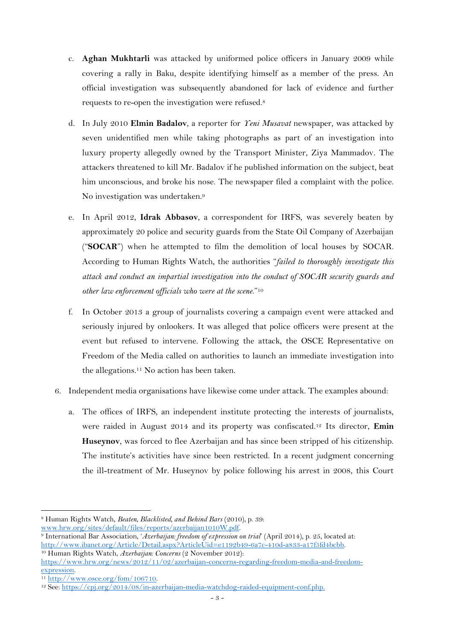- c. **Aghan Mukhtarli** was attacked by uniformed police officers in January 2009 while covering a rally in Baku, despite identifying himself as a member of the press. An official investigation was subsequently abandoned for lack of evidence and further requests to re-open the investigation were refused.<sup>8</sup>
- d. In July 2010 **Elmin Badalov**, a reporter for *Yeni Musavat* newspaper, was attacked by seven unidentified men while taking photographs as part of an investigation into luxury property allegedly owned by the Transport Minister, Ziya Mammadov. The attackers threatened to kill Mr. Badalov if he published information on the subject, beat him unconscious, and broke his nose. The newspaper filed a complaint with the police. No investigation was undertaken.<sup>9</sup>
- e. In April 2012, **Idrak Abbasov**, a correspondent for IRFS, was severely beaten by approximately 20 police and security guards from the State Oil Company of Azerbaijan ("**SOCAR**") when he attempted to film the demolition of local houses by SOCAR. According to Human Rights Watch, the authorities "*failed to thoroughly investigate this attack and conduct an impartial investigation into the conduct of SOCAR security guards and other law enforcement officials who were at the scene*."<sup>10</sup>
- f. In October 2013 a group of journalists covering a campaign event were attacked and seriously injured by onlookers. It was alleged that police officers were present at the event but refused to intervene. Following the attack, the OSCE Representative on Freedom of the Media called on authorities to launch an immediate investigation into the allegations.<sup>11</sup> No action has been taken.
- 6. Independent media organisations have likewise come under attack. The examples abound:
	- a. The offices of IRFS, an independent institute protecting the interests of journalists, were raided in August 2014 and its property was confiscated.<sup>12</sup> Its director, **Emin Huseynov**, was forced to flee Azerbaijan and has since been stripped of his citizenship. The institute's activities have since been restricted. In a recent judgment concerning the ill-treatment of Mr. Huseynov by police following his arrest in 2008, this Court

<sup>11</sup> [http://www.osce.org/fom/106710.](http://www.osce.org/fom/106710)

<sup>-</sup><sup>8</sup> Human Rights Watch, *Beaten, Blacklisted, and Behind Bars* (2010), p. 39: [www.hrw.org/sites/default/files/reports/azerbaijan1010W.pdf.](http://www.hrw.org/sites/default/files/reports/azerbaijan1010W.pdf) 

<sup>9</sup> International Bar Association, '*Azerbaijan: freedom of expression on trial*' (April 2014), p. 25, located at: [http://www.ibanet.org/Article/Detail.aspx?ArticleUid=e1192b49-6a7c-410d-a833-a17f5fd4bcbb.](http://www.ibanet.org/Article/Detail.aspx?ArticleUid=e1192b49-6a7c-410d-a833-a17f5fd4bcbb)

<sup>10</sup> Human Rights Watch, *Azerbaijan: Concerns* (2 November 2012): [https://www.hrw.org/news/2012/11/02/azerbaijan-concerns-regarding-freedom-media-and-freedom](https://www.hrw.org/news/2012/11/02/azerbaijan-concerns-regarding-freedom-media-and-freedom-expression)[expression.](https://www.hrw.org/news/2012/11/02/azerbaijan-concerns-regarding-freedom-media-and-freedom-expression) 

<sup>12</sup> See: [https://cpj.org/2014/08/in-azerbaijan-media-watchdog-raided-equipment-conf.php.](https://cpj.org/2014/08/in-azerbaijan-media-watchdog-raided-equipment-conf.php)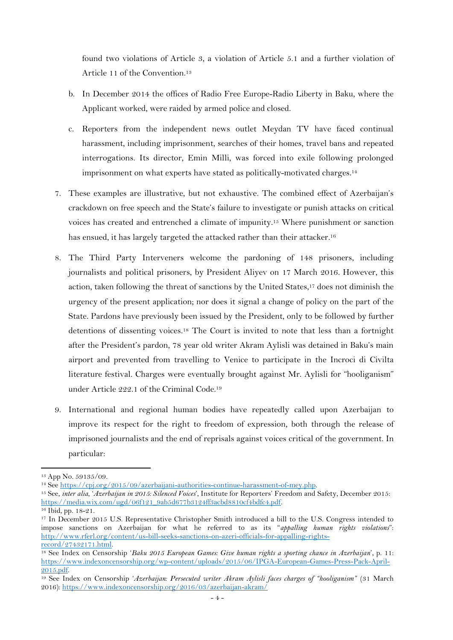found two violations of Article 3, a violation of Article 5.1 and a further violation of Article 11 of the Convention.<sup>13</sup>

- b. In December 2014 the offices of Radio Free Europe-Radio Liberty in Baku, where the Applicant worked, were raided by armed police and closed.
- c. Reporters from the independent news outlet Meydan TV have faced continual harassment, including imprisonment, searches of their homes, travel bans and repeated interrogations. Its director, Emin Milli, was forced into exile following prolonged imprisonment on what experts have stated as politically-motivated charges.<sup>14</sup>
- 7. These examples are illustrative, but not exhaustive. The combined effect of Azerbaijan's crackdown on free speech and the State's failure to investigate or punish attacks on critical voices has created and entrenched a climate of impunity.<sup>15</sup> Where punishment or sanction has ensued, it has largely targeted the attacked rather than their attacker.<sup>16</sup>
- 8. The Third Party Interveners welcome the pardoning of 148 prisoners, including journalists and political prisoners, by President Aliyev on 17 March 2016. However, this action, taken following the threat of sanctions by the United States, <sup>17</sup> does not diminish the urgency of the present application; nor does it signal a change of policy on the part of the State. Pardons have previously been issued by the President, only to be followed by further detentions of dissenting voices. <sup>18</sup> The Court is invited to note that less than a fortnight after the President's pardon, 78 year old writer Akram Aylisli was detained in Baku's main airport and prevented from travelling to Venice to participate in the Incroci di Civilta literature festival. Charges were eventually brought against Mr. Aylisli for "hooliganism" under Article 222.1 of the Criminal Code.<sup>19</sup>
- 9. International and regional human bodies have repeatedly called upon Azerbaijan to improve its respect for the right to freedom of expression, both through the release of imprisoned journalists and the end of reprisals against voices critical of the government. In particular:

-

<sup>19</sup> See Index on Censorship '*Azerbaijan: Persecuted writer Akram Aylisli faces charges of "hooliganism"* (31 March 2016)[: https://www.indexoncensorship.org/2016/03/azerbaijan-akram/](https://www.indexoncensorship.org/2016/03/azerbaijan-akram/)

<sup>13</sup> App No. 59135/09.

<sup>14</sup> See [https://cpj.org/2015/09/azerbaijani-authorities-continue-harassment-of-mey.php.](https://cpj.org/2015/09/azerbaijani-authorities-continue-harassment-of-mey.php)

<sup>15</sup> See, *inter alia*, '*Azerbaijan in 2015: Silenced Voices*', Institute for Reporters' Freedom and Safety, December 2015: [https://media.wix.com/ugd/06f121\\_9ab5d677b3124ff3acbd8810cf4bdfc4.pdf.](https://media.wix.com/ugd/06f121_9ab5d677b3124ff3acbd8810cf4bdfc4.pdf)

<sup>16</sup> Ibid, pp. 18-21.

<sup>&</sup>lt;sup>17</sup> In December 2015 U.S. Representative Christopher Smith introduced a bill to the U.S. Congress intended to impose sanctions on Azerbaijan for what he referred to as its "*appalling human rights violations*": [http://www.rferl.org/content/us-bill-seeks-sanctions-on-azeri-officials-for-appalling-rights](http://www.rferl.org/content/us-bill-seeks-sanctions-on-azeri-officials-for-appalling-rights-record/27432171.html)[record/27432171.html.](http://www.rferl.org/content/us-bill-seeks-sanctions-on-azeri-officials-for-appalling-rights-record/27432171.html)

<sup>18</sup> See Index on Censorship '*Baku 2015 European Games: Give human rights a sporting chance in Azerbaijan*', p. 11: [https://www.indexoncensorship.org/wp-content/uploads/2015/06/IPGA-European-Games-Press-Pack-April-](https://www.indexoncensorship.org/wp-content/uploads/2015/06/IPGA-European-Games-Press-Pack-April-2015.pdf)[2015.pdf.](https://www.indexoncensorship.org/wp-content/uploads/2015/06/IPGA-European-Games-Press-Pack-April-2015.pdf)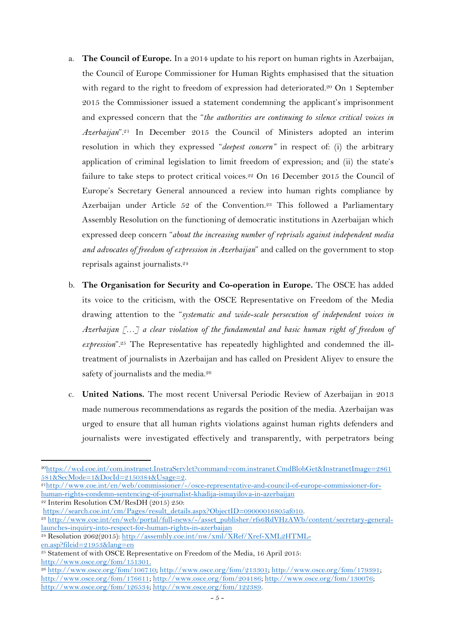- a. **The Council of Europe.** In a 2014 update to his report on human rights in Azerbaijan, the Council of Europe Commissioner for Human Rights emphasised that the situation with regard to the right to freedom of expression had deteriorated.<sup>20</sup> On 1 September 2015 the Commissioner issued a statement condemning the applicant's imprisonment and expressed concern that the "*the authorities are continuing to silence critical voices in Azerbaijan*". <sup>21</sup> In December 2015 the Council of Ministers adopted an interim resolution in which they expressed "*deepest concern"* in respect of: (i) the arbitrary application of criminal legislation to limit freedom of expression; and (ii) the state's failure to take steps to protect critical voices.<sup>22</sup> On 16 December 2015 the Council of Europe's Secretary General announced a review into human rights compliance by Azerbaijan under Article 52 of the Convention. <sup>23</sup> This followed a Parliamentary Assembly Resolution on the functioning of democratic institutions in Azerbaijan which expressed deep concern "*about the increasing number of reprisals against independent media and advocates of freedom of expression in Azerbaijan*" and called on the government to stop reprisals against journalists.<sup>24</sup>
- b. **The Organisation for Security and Co-operation in Europe.** The OSCE has added its voice to the criticism, with the OSCE Representative on Freedom of the Media drawing attention to the "*systematic and wide-scale persecution of independent voices in Azerbaijan […] a clear violation of the fundamental and basic human right of freedom of*  expression".<sup>25</sup> The Representative has repeatedly highlighted and condemned the illtreatment of journalists in Azerbaijan and has called on President Aliyev to ensure the safety of journalists and the media.<sup>26</sup>
- c. **United Nations.** The most recent Universal Periodic Review of Azerbaijan in 2013 made numerous recommendations as regards the position of the media. Azerbaijan was urged to ensure that all human rights violations against human rights defenders and journalists were investigated effectively and transparently, with perpetrators being

21[http://www.coe.int/en/web/commissioner/-/osce-representative-and-council-of-europe-commissioner-for](http://www.coe.int/en/web/commissioner/-/osce-representative-and-council-of-europe-commissioner-for-human-rights-condemn-sentencing-of-journalist-khadija-ismayilova-in-azerbaijan)[human-rights-condemn-sentencing-of-journalist-khadija-ismayilova-in-azerbaijan](http://www.coe.int/en/web/commissioner/-/osce-representative-and-council-of-europe-commissioner-for-human-rights-condemn-sentencing-of-journalist-khadija-ismayilova-in-azerbaijan)

<sup>22</sup> Interim Resolution CM/ResDH (2015) 250:

<sup>23</sup> [http://www.coe.int/en/web/portal/full-news/-/asset\\_publisher/rfs6RdVHzAWb/content/secretary-general](http://www.coe.int/en/web/portal/full-news/-/asset_publisher/rfs6RdVHzAWb/content/secretary-general-launches-inquiry-into-respect-for-human-rights-in-azerbaijan)[launches-inquiry-into-respect-for-human-rights-in-azerbaijan](http://www.coe.int/en/web/portal/full-news/-/asset_publisher/rfs6RdVHzAWb/content/secretary-general-launches-inquiry-into-respect-for-human-rights-in-azerbaijan)

<sup>-</sup><sup>20</sup>[https://wcd.coe.int/com.instranet.InstraServlet?command=com.instranet.CmdBlobGet&InstranetImage=2861](https://wcd.coe.int/com.instranet.InstraServlet?command=com.instranet.CmdBlobGet&InstranetImage=2861581&SecMode=1&DocId=2150384&Usage=2) [581&SecMode=1&DocId=2150384&Usage=2.](https://wcd.coe.int/com.instranet.InstraServlet?command=com.instranet.CmdBlobGet&InstranetImage=2861581&SecMode=1&DocId=2150384&Usage=2)

[https://search.coe.int/cm/Pages/result\\_details.aspx?ObjectID=09000016805af010.](https://search.coe.int/cm/Pages/result_details.aspx?ObjectID=09000016805af010)

<sup>24</sup> Resolution 2062(2015): [http://assembly.coe.int/nw/xml/XRef/Xref-XML2HTML](http://assembly.coe.int/nw/xml/XRef/Xref-XML2HTML-en.asp?fileid=21953&lang=en)[en.asp?fileid=21953&lang=en](http://assembly.coe.int/nw/xml/XRef/Xref-XML2HTML-en.asp?fileid=21953&lang=en)

<sup>&</sup>lt;sup>25</sup> Statement of with OSCE Representative on Freedom of the Media, 16 April 2015: [http://www.osce.org/fom/151301.](http://www.osce.org/fom/151301)

<sup>26</sup> [http://www.osce.org/fom/106710;](http://www.osce.org/fom/106710) [http://www.osce.org/fom/213301;](http://www.osce.org/fom/213301) [http://www.osce.org/fom/179391;](http://www.osce.org/fom/179391)  [http://www.osce.org/fom/176611;](http://www.osce.org/fom/176611) [http://www.osce.org/fom/204186;](http://www.osce.org/fom/204186) [http://www.osce.org/fom/130076;](http://www.osce.org/fom/130076)  [http://www.osce.org/fom/126534;](http://www.osce.org/fom/126534) [http://www.osce.org/fom/122389.](http://www.osce.org/fom/122389)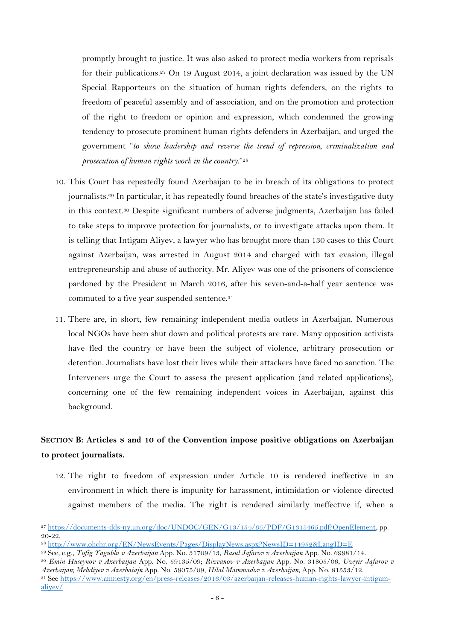promptly brought to justice. It was also asked to protect media workers from reprisals for their publications.<sup>27</sup> On 19 August 2014, a joint declaration was issued by the UN Special Rapporteurs on the situation of human rights defenders, on the rights to freedom of peaceful assembly and of association, and on the promotion and protection of the right to freedom or opinion and expression, which condemned the growing tendency to prosecute prominent human rights defenders in Azerbaijan, and urged the government "*to show leadership and reverse the trend of repression, criminalization and prosecution of human rights work in the country*."<sup>28</sup>

- 10. This Court has repeatedly found Azerbaijan to be in breach of its obligations to protect journalists. <sup>29</sup> In particular, it has repeatedly found breaches of the state's investigative duty in this context. <sup>30</sup> Despite significant numbers of adverse judgments, Azerbaijan has failed to take steps to improve protection for journalists, or to investigate attacks upon them. It is telling that Intigam Aliyev, a lawyer who has brought more than 130 cases to this Court against Azerbaijan, was arrested in August 2014 and charged with tax evasion, illegal entrepreneurship and abuse of authority. Mr. Aliyev was one of the prisoners of conscience pardoned by the President in March 2016, after his seven-and-a-half year sentence was commuted to a five year suspended sentence.<sup>31</sup>
- 11. There are, in short, few remaining independent media outlets in Azerbaijan. Numerous local NGOs have been shut down and political protests are rare. Many opposition activists have fled the country or have been the subject of violence, arbitrary prosecution or detention. Journalists have lost their lives while their attackers have faced no sanction. The Interveners urge the Court to assess the present application (and related applications), concerning one of the few remaining independent voices in Azerbaijan, against this background.

# **SECTION B: Articles 8 and 10 of the Convention impose positive obligations on Azerbaijan to protect journalists.**

12. The right to freedom of expression under Article 10 is rendered ineffective in an environment in which there is impunity for harassment, intimidation or violence directed against members of the media. The right is rendered similarly ineffective if, when a

<sup>27</sup> [https://documents-dds-ny.un.org/doc/UNDOC/GEN/G13/154/65/PDF/G1315465.pdf?OpenElement,](https://documents-dds-ny.un.org/doc/UNDOC/GEN/G13/154/65/PDF/G1315465.pdf?OpenElement) pp. 20-22.

<sup>28</sup> <http://www.ohchr.org/EN/NewsEvents/Pages/DisplayNews.aspx?NewsID=14952&LangID=E>

<sup>29</sup> See, e.g., *Tofig Yagublu v Azerbaijan* App. No. 31709/13, *Rasul Jafarov v Azerbaijan* App. No. 69981/14.

<sup>30</sup> *Emin Huseynov v Azerbaijan* App. No. 59135/09; *Rizvanov v Azerbaijan* App. No. 31805/06, *Uzeyir Jafarov v Azerbaijan; Mehdiyev v Azerbaiajn* App. No. 59075/09, *Hilal Mammadov v Azerbaijan*, App. No. 81553/12.

<sup>31</sup> See [https://www.amnesty.org/en/press-releases/2016/03/azerbaijan-releases-human-rights-lawyer-intigam](https://www.amnesty.org/en/press-releases/2016/03/azerbaijan-releases-human-rights-lawyer-intigam-aliyev/)[aliyev/](https://www.amnesty.org/en/press-releases/2016/03/azerbaijan-releases-human-rights-lawyer-intigam-aliyev/)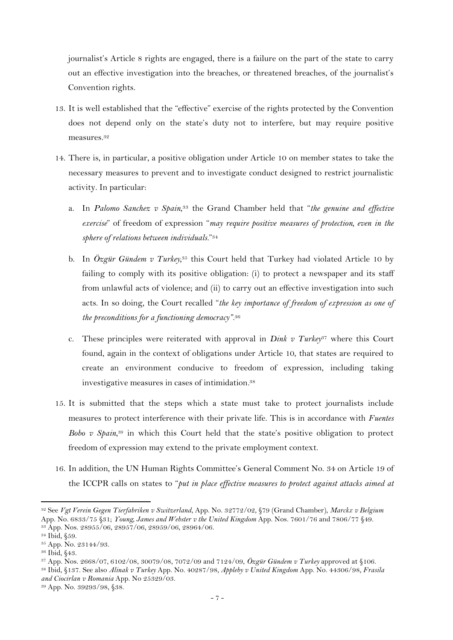journalist's Article 8 rights are engaged, there is a failure on the part of the state to carry out an effective investigation into the breaches, or threatened breaches, of the journalist's Convention rights.

- 13. It is well established that the "effective" exercise of the rights protected by the Convention does not depend only on the state's duty not to interfere, but may require positive measures.<sup>32</sup>
- 14. There is, in particular, a positive obligation under Article 10 on member states to take the necessary measures to prevent and to investigate conduct designed to restrict journalistic activity. In particular:
	- a. In *Palomo Sanchez v Spain*, <sup>33</sup> the Grand Chamber held that "*the genuine and effective exercise*" of freedom of expression "*may require positive measures of protection, even in the sphere of relations between individuals.*" 34
	- b. In *Özgür Gündem v Turkey,* <sup>35</sup> this Court held that Turkey had violated Article 10 by failing to comply with its positive obligation: (i) to protect a newspaper and its staff from unlawful acts of violence; and (ii) to carry out an effective investigation into such acts. In so doing, the Court recalled "*the key importance of freedom of expression as one of the preconditions for a functioning democracy"*. 36
	- c. These principles were reiterated with approval in *Dink v Turkey*<sup>37</sup> where this Court found, again in the context of obligations under Article 10, that states are required to create an environment conducive to freedom of expression, including taking investigative measures in cases of intimidation*.* 38
- 15. It is submitted that the steps which a state must take to protect journalists include measures to protect interference with their private life. This is in accordance with *Fuentes Bobo v Spain*, <sup>39</sup> in which this Court held that the state's positive obligation to protect freedom of expression may extend to the private employment context.
- 16. In addition, the UN Human Rights Committee's General Comment No. 34 on Article 19 of the ICCPR calls on states to "*put in place effective measures to protect against attacks aimed at*

<sup>32</sup> See *Vgt Verein Gegen Tierfabriken v Switzerland*, App. No. 32772/02, §79 (Grand Chamber), *Marckx v Belgium*  App. No. 6833/75 §31; *Young, James and Webster v the United Kingdom* App. Nos. 7601/76 and 7806/77 §49. <sup>33</sup> App. Nos. 28955/06, 28957/06, 28959/06, 28964/06.

<sup>34</sup> Ibid, §59.

<sup>35</sup> App. No. 23144/93.

<sup>36</sup> Ibid, §43.

<sup>37</sup> App. Nos. 2668/07, 6102/08, 30079/08, 7072/09 and 7124/09, *Özgür Gündem v Turkey* approved at §106.

<sup>38</sup> Ibid, §137. See also *Alinak v Turkey* App. No. 40287/98*, Appleby v United Kingdom* App. No. 44306/98*, Frasila and Ciocirlan v Romania* App. No 25329/03.

<sup>39</sup> App. No. 39293/98, §38.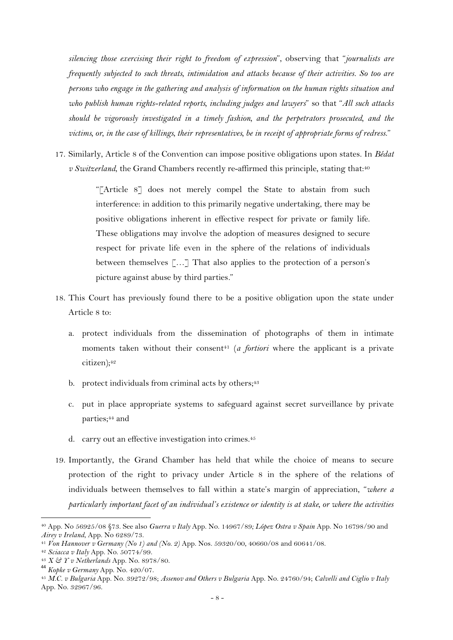*silencing those exercising their right to freedom of expression*", observing that "*journalists are frequently subjected to such threats, intimidation and attacks because of their activities. So too are persons who engage in the gathering and analysis of information on the human rights situation and who publish human rights-related reports, including judges and lawyers*" so that "*All such attacks should be vigorously investigated in a timely fashion, and the perpetrators prosecuted, and the victims, or, in the case of killings, their representatives, be in receipt of appropriate forms of redress*."

17. Similarly, Article 8 of the Convention can impose positive obligations upon states. In *Bédat v Switzerland*, the Grand Chambers recently re-affirmed this principle, stating that:<sup>40</sup>

> "[Article 8] does not merely compel the State to abstain from such interference: in addition to this primarily negative undertaking, there may be positive obligations inherent in effective respect for private or family life. These obligations may involve the adoption of measures designed to secure respect for private life even in the sphere of the relations of individuals between themselves […] That also applies to the protection of a person's picture against abuse by third parties*.*"

- 18. This Court has previously found there to be a positive obligation upon the state under Article 8 to:
	- a. protect individuals from the dissemination of photographs of them in intimate moments taken without their consent<sup>41</sup> (*a fortiori* where the applicant is a private citizen);<sup>42</sup>
	- b. protect individuals from criminal acts by others; $43$
	- c. put in place appropriate systems to safeguard against secret surveillance by private parties;<sup>44</sup> and
	- d. carry out an effective investigation into crimes.<sup>45</sup>
- 19. Importantly, the Grand Chamber has held that while the choice of means to secure protection of the right to privacy under Article 8 in the sphere of the relations of individuals between themselves to fall within a state's margin of appreciation, "*where a particularly important facet of an individual's existence or identity is at stake, or where the activities*

<sup>40</sup> App. No 56925/08 §73. See also *Guerra v Italy* App. No. 14967/89*; López Ostra v Spain* App. No 16798/90 and *Airey v Ireland*, App. No 6289/73.

<sup>41</sup> *Von Hannover v Germany (No 1) and (No. 2)* App. Nos. 59320/00, 40660/08 and 60641/08.

<sup>42</sup> *Sciacca v Italy* App. No. 50774/99.

<sup>43</sup> *X & Y v Netherlands* App. No. 8978/80.

<sup>44</sup> *Kopke v Germany* App. No. 420/07.

<sup>45</sup> *M.C. v Bulgaria* App. No. 39272/98; *Assenov and Others v Bulgaria* App. No. 24760/94; *Calvelli and Ciglio v Italy* App. No. 32967/96.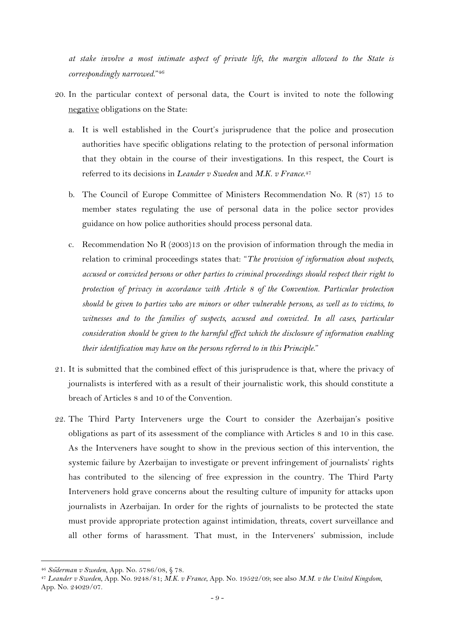*at stake involve a most intimate aspect of private life, the margin allowed to the State is correspondingly narrowed*."<sup>46</sup>

- 20. In the particular context of personal data, the Court is invited to note the following negative obligations on the State:
	- a. It is well established in the Court's jurisprudence that the police and prosecution authorities have specific obligations relating to the protection of personal information that they obtain in the course of their investigations. In this respect, the Court is referred to its decisions in *Leander v Sweden* and *M.K. v France*. 47
	- b. The Council of Europe Committee of Ministers Recommendation No. R (87) 15 to member states regulating the use of personal data in the police sector provides guidance on how police authorities should process personal data.
	- c. Recommendation No R (2003)13 on the provision of information through the media in relation to criminal proceedings states that: "*The provision of information about suspects, accused or convicted persons or other parties to criminal proceedings should respect their right to protection of privacy in accordance with Article 8 of the Convention. Particular protection should be given to parties who are minors or other vulnerable persons, as well as to victims, to*  witnesses and to the families of suspects, accused and convicted. In all cases, particular *consideration should be given to the harmful effect which the disclosure of information enabling their identification may have on the persons referred to in this Principle*."
- 21. It is submitted that the combined effect of this jurisprudence is that, where the privacy of journalists is interfered with as a result of their journalistic work, this should constitute a breach of Articles 8 and 10 of the Convention.
- 22. The Third Party Interveners urge the Court to consider the Azerbaijan's positive obligations as part of its assessment of the compliance with Articles 8 and 10 in this case. As the Interveners have sought to show in the previous section of this intervention, the systemic failure by Azerbaijan to investigate or prevent infringement of journalists' rights has contributed to the silencing of free expression in the country. The Third Party Interveners hold grave concerns about the resulting culture of impunity for attacks upon journalists in Azerbaijan. In order for the rights of journalists to be protected the state must provide appropriate protection against intimidation, threats, covert surveillance and all other forms of harassment. That must, in the Interveners' submission, include

<sup>46</sup> *Söderman v Sweden*, App. No. 5786/08, § 78.

<sup>47</sup> *Leander v Sweden*, App. No. 9248/81; *M.K. v France*, App. No. 19522/09; see also *M.M. v the United Kingdom*, App. No. 24029/07.